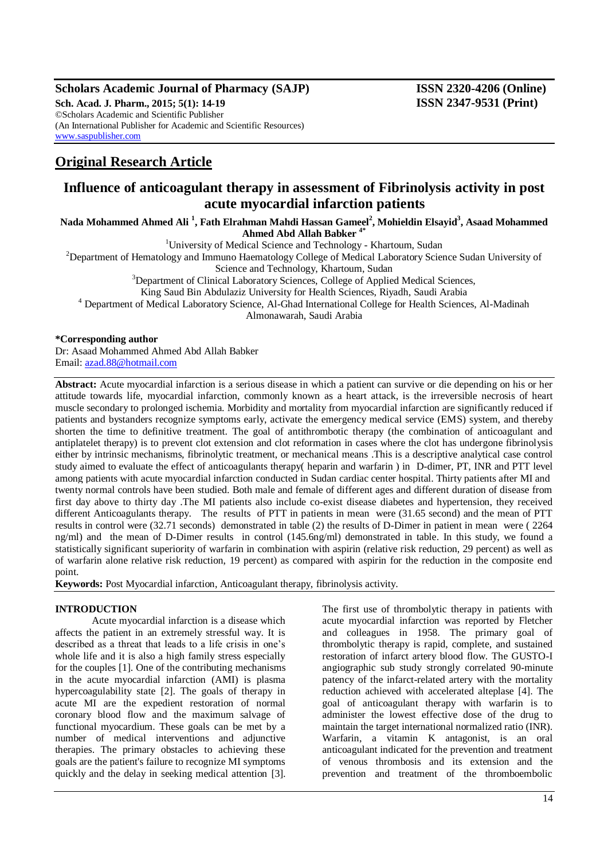#### **Scholars Academic Journal of Pharmacy (SAJP) ISSN 2320-4206 (Online) Sch. Acad. J. Pharm., 2015; 5(1): 14-19 ISSN 2347-9531 (Print)** ©Scholars Academic and Scientific Publisher (An International Publisher for Academic and Scientific Resources) [www.saspublisher.com](http://www.saspublisher.com/)

# **Original Research Article**

# **Influence of anticoagulant therapy in assessment of Fibrinolysis activity in post acute myocardial infarction patients**

**Nada Mohammed Ahmed Ali <sup>1</sup> , Fath Elrahman Mahdi Hassan Gameel<sup>2</sup> , Mohieldin Elsayid<sup>3</sup> , Asaad Mohammed Ahmed Abd Allah Babker 4\***

<sup>1</sup>University of Medical Science and Technology - Khartoum, Sudan

<sup>2</sup>Department of Hematology and Immuno Haematology College of Medical Laboratory Science Sudan University of

Science and Technology, Khartoum, Sudan

 $3$ Department of Clinical Laboratory Sciences, College of Applied Medical Sciences,

King Saud Bin Abdulaziz University for Health Sciences, Riyadh, Saudi Arabia

<sup>4</sup> Department of Medical Laboratory Science, Al-Ghad International College for Health Sciences, Al-Madinah

Almonawarah, Saudi Arabia

#### **\*Corresponding author**

Dr: Asaad Mohammed Ahmed Abd Allah Babker Email: [azad.88@hotmail.com](mailto:Azad.88@hotmail.com)

**Abstract:** Acute myocardial infarction is a serious disease in which a patient can survive or die depending on his or her attitude towards life, myocardial infarction, commonly known as a heart attack, is the irreversible necrosis of heart muscle secondary to prolonged ischemia. Morbidity and mortality from myocardial infarction are significantly reduced if patients and bystanders recognize symptoms early, activate the emergency medical service (EMS) system, and thereby shorten the time to definitive treatment. The goal of antithrombotic therapy (the combination of anticoagulant and antiplatelet therapy) is to prevent clot extension and clot reformation in cases where the clot has undergone fibrinolysis either by intrinsic mechanisms, fibrinolytic treatment, or mechanical means .This is a descriptive analytical case control study aimed to evaluate the effect of anticoagulants therapy( heparin and warfarin ) in D-dimer, PT, INR and PTT level among patients with acute myocardial infarction conducted in Sudan cardiac center hospital. Thirty patients after MI and twenty normal controls have been studied. Both male and female of different ages and different duration of disease from first day above to thirty day .The MI patients also include co-exist disease diabetes and hypertension, they received different Anticoagulants therapy. The results of PTT in patients in mean were (31.65 second) and the mean of PTT results in control were (32.71 seconds) demonstrated in table (2) the results of D-Dimer in patient in mean were ( 2264 ng/ml) and the mean of D-Dimer results in control (145.6ng/ml) demonstrated in table. In this study, we found a statistically significant superiority of warfarin in combination with aspirin (relative risk reduction, 29 percent) as well as of warfarin alone relative risk reduction, 19 percent) as compared with aspirin for the reduction in the composite end point.

**Keywords:** Post Myocardial infarction, Anticoagulant therapy, fibrinolysis activity.

# **INTRODUCTION**

Acute myocardial infarction is a disease which affects the patient in an extremely stressful way. It is described as a threat that leads to a life crisis in one's whole life and it is also a high family stress especially for the couples [1]. One of the contributing mechanisms in the acute myocardial infarction (AMI) is plasma hypercoagulability state [2]. The goals of therapy in acute MI are the expedient restoration of normal coronary blood flow and the maximum salvage of functional myocardium. These goals can be met by a number of medical interventions and adjunctive therapies. The primary obstacles to achieving these goals are the patient's failure to recognize MI symptoms quickly and the delay in seeking medical attention [3].

The first use of thrombolytic therapy in patients with acute myocardial infarction was reported by Fletcher and colleagues in 1958. The primary goal of thrombolytic therapy is rapid, complete, and sustained restoration of infarct artery blood flow. The GUSTO-I angiographic sub study strongly correlated 90-minute patency of the infarct-related artery with the mortality reduction achieved with accelerated alteplase [4]. The goal of anticoagulant therapy with warfarin is to administer the lowest effective dose of the drug to maintain the target international normalized ratio (INR). Warfarin, a vitamin K antagonist, is an oral anticoagulant indicated for the prevention and treatment of venous thrombosis and its extension and the prevention and treatment of the thromboembolic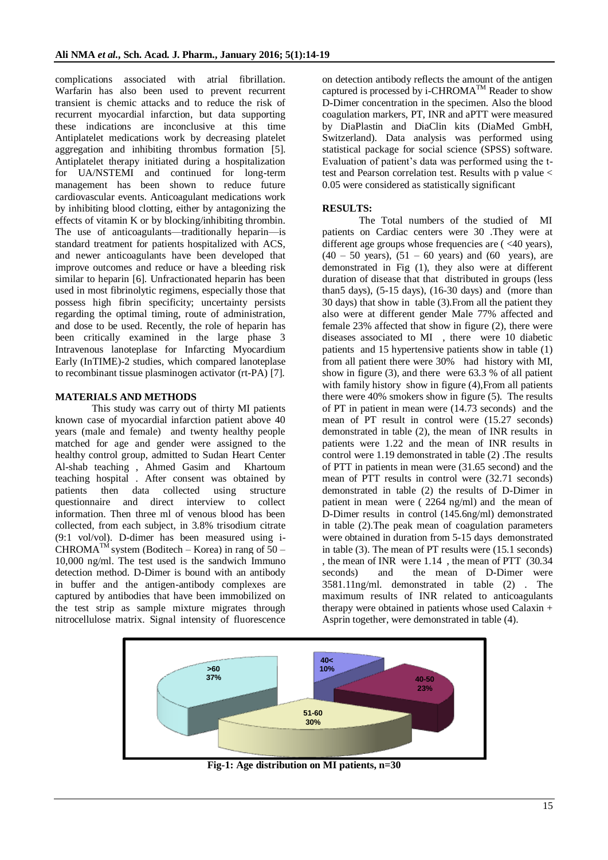complications associated with atrial fibrillation. Warfarin has also been used to prevent recurrent transient is chemic attacks and to reduce the risk of recurrent myocardial infarction, but data supporting these indications are inconclusive at this time Antiplatelet medications work by decreasing platelet aggregation and inhibiting thrombus formation [5]. Antiplatelet therapy initiated during a hospitalization for UA/NSTEMI and continued for long-term management has been shown to reduce future cardiovascular events. Anticoagulant medications work by inhibiting blood clotting, either by antagonizing the effects of vitamin K or by blocking/inhibiting thrombin. The use of anticoagulants—traditionally heparin—is standard treatment for patients hospitalized with ACS, and newer anticoagulants have been developed that improve outcomes and reduce or have a bleeding risk similar to heparin [6]. Unfractionated heparin has been used in most fibrinolytic regimens, especially those that possess high fibrin specificity; uncertainty persists regarding the optimal timing, route of administration, and dose to be used. Recently, the role of heparin has been critically examined in the large phase 3 Intravenous lanoteplase for Infarcting Myocardium Early (InTIME)-2 studies, which compared lanoteplase to recombinant tissue plasminogen activator (rt-PA) [7].

## **MATERIALS AND METHODS**

This study was carry out of thirty MI patients known case of myocardial infarction patient above 40 years (male and female) and twenty healthy people matched for age and gender were assigned to the healthy control group, admitted to Sudan Heart Center Al-shab teaching , Ahmed Gasim and Khartoum teaching hospital . After consent was obtained by patients then data collected using structure questionnaire and direct interview to collect information. Then three ml of venous blood has been collected, from each subject, in 3.8% trisodium citrate (9:1 vol/vol). D-dimer has been measured using i-CHROMA<sup>TM</sup> system (Boditech – Korea) in rang of  $50 -$ 10,000 ng/ml. The test used is the sandwich Immuno detection method. D-Dimer is bound with an antibody in buffer and the antigen-antibody complexes are captured by antibodies that have been immobilized on the test strip as sample mixture migrates through nitrocellulose matrix. Signal intensity of fluorescence

on detection antibody reflects the amount of the antigen captured is processed by i-CHROMA<sup>TM</sup> Reader to show D-Dimer concentration in the specimen. Also the blood coagulation markers, PT, INR and aPTT were measured by DiaPlastin and DiaClin kits (DiaMed GmbH, Switzerland). Data analysis was performed using statistical package for social science (SPSS) software. Evaluation of patient's data was performed using the ttest and Pearson correlation test. Results with p value < 0.05 were considered as statistically significant

## **RESULTS:**

The Total numbers of the studied of MI patients on Cardiac centers were 30 .They were at different age groups whose frequencies are ( $\leq 40$  years),  $(40 - 50 \text{ years})$ ,  $(51 - 60 \text{ years})$  and  $(60 \text{ years})$ , are demonstrated in Fig (1), they also were at different duration of disease that that distributed in groups (less than5 days),  $(5-15 \text{ days})$ ,  $(16-30 \text{ days})$  and (more than 30 days) that show in table (3).From all the patient they also were at different gender Male 77% affected and female 23% affected that show in figure (2), there were diseases associated to MI , there were 10 diabetic patients and 15 hypertensive patients show in table (1) from all patient there were 30% had history with MI, show in figure (3), and there were 63.3 % of all patient with family history show in figure (4), From all patients there were 40% smokers show in figure (5). The results of PT in patient in mean were (14.73 seconds) and the mean of PT result in control were (15.27 seconds) demonstrated in table (2), the mean of INR results in patients were 1.22 and the mean of INR results in control were 1.19 demonstrated in table (2) .The results of PTT in patients in mean were (31.65 second) and the mean of PTT results in control were (32.71 seconds) demonstrated in table (2) the results of D-Dimer in patient in mean were ( 2264 ng/ml) and the mean of D-Dimer results in control (145.6ng/ml) demonstrated in table (2).The peak mean of coagulation parameters were obtained in duration from 5-15 days demonstrated in table (3). The mean of PT results were (15.1 seconds) , the mean of INR were 1.14 , the mean of PTT (30.34 seconds) and the mean of D-Dimer were 3581.11ng/ml. demonstrated in table (2) . The maximum results of INR related to anticoagulants therapy were obtained in patients whose used Calaxin + Asprin together, were demonstrated in table (4).



**Fig-1: Age distribution on MI patients, n=30**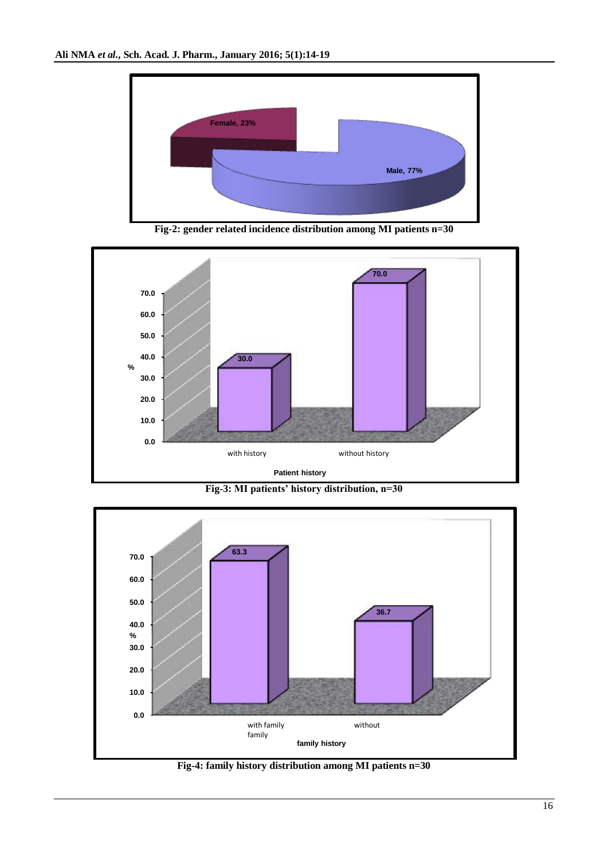

**Fig-2: gender related incidence distribution among MI patients n=30**







**Fig-4: family history distribution among MI patients n=30**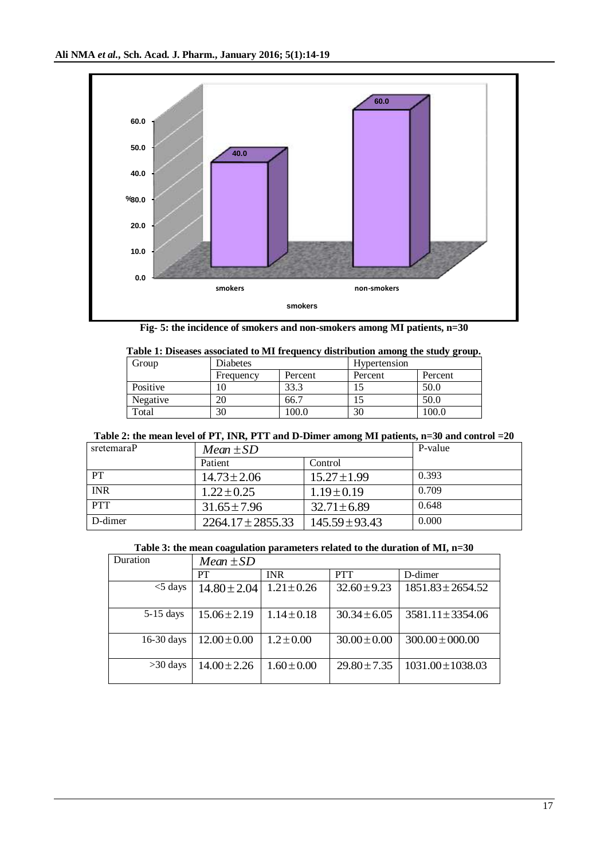

**Fig- 5: the incidence of smokers and non-smokers among MI patients, n=30**

| Table 1: Diseases associated to MI frequency distribution among the study group. |           |         |              |         |  |
|----------------------------------------------------------------------------------|-----------|---------|--------------|---------|--|
| Group                                                                            | Diabetes  |         | Hypertension |         |  |
|                                                                                  | Frequency | Percent | Percent      | Percent |  |
| Positive                                                                         | 10        | 33.3    |              | 50.0    |  |
| Negative                                                                         | 20        | 66.7    |              | 50.0    |  |
| Total                                                                            | 30        | 100.0   | 30           | 100.0   |  |

# **Table 2: the mean level of PT, INR, PTT and D-Dimer among MI patients, n=30 and control =20**

| sretemaraP | $Mean \pm SD$         |                    | P-value |
|------------|-----------------------|--------------------|---------|
|            | Patient               | Control            |         |
| <b>PT</b>  | $14.73 \pm 2.06$      | $15.27 \pm 1.99$   | 0.393   |
| <b>INR</b> | $1.22 \pm 0.25$       | $1.19 \pm 0.19$    | 0.709   |
| <b>PTT</b> | $31.65 \pm 7.96$      | $32.71 \pm 6.89$   | 0.648   |
| D-dimer    | $2264.17 \pm 2855.33$ | $145.59 \pm 93.43$ | 0.000   |

## **Table 3: the mean coagulation parameters related to the duration of MI, n=30**

| Duration     | $Mean \pm SD$    |                 |                  |                       |
|--------------|------------------|-----------------|------------------|-----------------------|
|              | PT               | <b>INR</b>      | <b>PTT</b>       | D-dimer               |
| $<$ 5 days   | $14.80 \pm 2.04$ | $1.21 \pm 0.26$ | $32.60 \pm 9.23$ | $1851.83 \pm 2654.52$ |
| $5-15$ days  | $15.06 \pm 2.19$ | $1.14 \pm 0.18$ | $30.34 \pm 6.05$ | $3581.11 \pm 3354.06$ |
| $16-30$ days | $12.00 \pm 0.00$ | $1.2 \pm 0.00$  | $30.00 \pm 0.00$ | $300.00 \pm 000.00$   |
| $>30$ days   | $14.00 \pm 2.26$ | $1.60 \pm 0.00$ | $29.80 \pm 7.35$ | $1031.00 \pm 1038.03$ |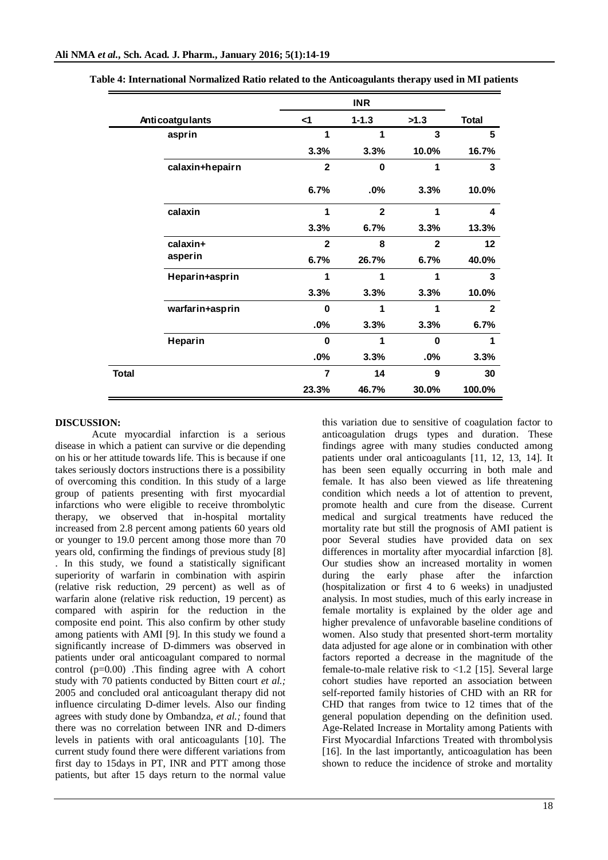|                        |                 |                | <b>INR</b>     |              |              |
|------------------------|-----------------|----------------|----------------|--------------|--------------|
| <b>Anticoatgulants</b> |                 | $\leq$ 1       | $1 - 1.3$      | >1.3         | <b>Total</b> |
|                        | asprin          | 1              | 1              | 3            | 5            |
|                        |                 | 3.3%           | 3.3%           | 10.0%        | 16.7%        |
|                        | calaxin+hepairn | $\mathbf{2}$   | 0              | 1            | 3            |
|                        |                 | 6.7%           | .0%            | 3.3%         | 10.0%        |
|                        | calaxin         | 1              | $\overline{2}$ | 1            | 4            |
|                        |                 | 3.3%           | 6.7%           | 3.3%         | 13.3%        |
|                        | calaxin+        | $\mathbf{2}$   | 8              | $\mathbf{2}$ | $12 \,$      |
|                        | asperin         | 6.7%           | 26.7%          | 6.7%         | 40.0%        |
|                        | Heparin+asprin  | 1              | 1              | 1            | 3            |
|                        |                 | 3.3%           | 3.3%           | 3.3%         | 10.0%        |
|                        | warfarin+asprin | $\bf{0}$       | 1              | 1            | $\mathbf{2}$ |
|                        |                 | .0%            | 3.3%           | 3.3%         | 6.7%         |
|                        | Heparin         | $\bf{0}$       | 1              | $\bf{0}$     | 1            |
|                        |                 | .0%            | 3.3%           | .0%          | 3.3%         |
| <b>Total</b>           |                 | $\overline{7}$ | 14             | 9            | 30           |
|                        |                 | 23.3%          | 46.7%          | 30.0%        | 100.0%       |

**Table 4: International Normalized Ratio related to the Anticoagulants therapy used in MI patients**

# **DISCUSSION:**

Acute myocardial infarction is a serious disease in which a patient can survive or die depending on his or her attitude towards life. This is because if one takes seriously doctors instructions there is a possibility of overcoming this condition. In this study of a large group of patients presenting with first myocardial infarctions who were eligible to receive thrombolytic therapy, we observed that in-hospital mortality increased from 2.8 percent among patients 60 years old or younger to 19.0 percent among those more than 70 years old, confirming the findings of previous study [8] . In this study, we found a statistically significant superiority of warfarin in combination with aspirin (relative risk reduction, 29 percent) as well as of warfarin alone (relative risk reduction, 19 percent) as compared with aspirin for the reduction in the composite end point. This also confirm by other study among patients with AMI [9]. In this study we found a significantly increase of D-dimmers was observed in patients under oral anticoagulant compared to normal control (p=0.00) .This finding agree with A cohort study with 70 patients conducted by Bitten court *et al.;* 2005 and concluded oral anticoagulant therapy did not influence circulating D-dimer levels. Also our finding agrees with study done by Ombandza, *et al.;* found that there was no correlation between INR and D-dimers levels in patients with oral anticoagulants [10]. The current study found there were different variations from first day to 15days in PT, INR and PTT among those patients, but after 15 days return to the normal value

this variation due to sensitive of coagulation factor to anticoagulation drugs types and duration. These findings agree with many studies conducted among patients under oral anticoagulants [11, 12, 13, 14]. It has been seen equally occurring in both male and female. It has also been viewed as life threatening condition which needs a lot of attention to prevent, promote health and cure from the disease. Current medical and surgical treatments have reduced the mortality rate but still the prognosis of AMI patient is poor Several studies have provided data on sex differences in mortality after myocardial infarction [8]. Our studies show an increased mortality in women during the early phase after the infarction (hospitalization or first 4 to 6 weeks) in unadjusted analysis. In most studies, much of this early increase in female mortality is explained by the older age and higher prevalence of unfavorable baseline conditions of women. Also study that presented short-term mortality data adjusted for age alone or in combination with other factors reported a decrease in the magnitude of the female-to-male relative risk to  $\langle 1.2 \rangle$  [15]. Several large cohort studies have reported an association between self-reported family histories of CHD with an RR for CHD that ranges from twice to 12 times that of the general population depending on the definition used. Age-Related Increase in Mortality among Patients with First Myocardial Infarctions Treated with thrombolysis [16]. In the last importantly, anticoagulation has been shown to reduce the incidence of stroke and mortality